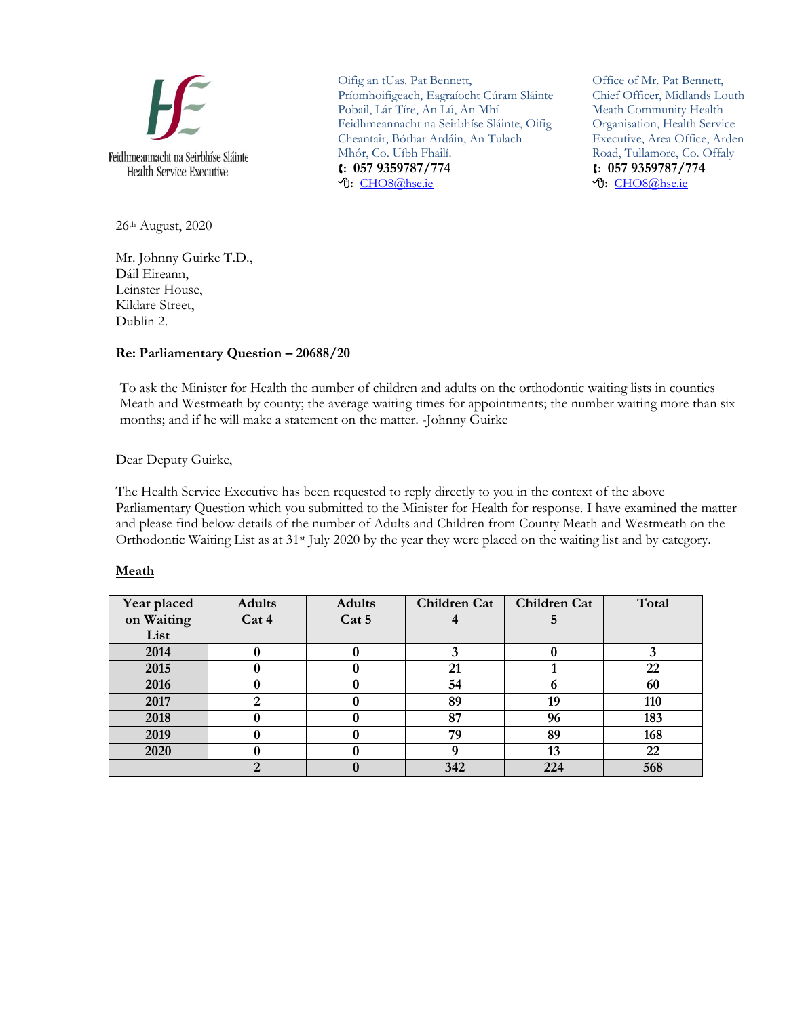

Oifig an tUas. Pat Bennett, Príomhoifigeach, Eagraíocht Cúram Sláinte Pobail, Lár Tíre, An Lú, An Mhí Feidhmeannacht na Seirbhíse Sláinte, Oifig Cheantair, Bóthar Ardáin, An Tulach Mhór, Co. Uíbh Fhailí. **: 057 9359787/774 :** [CHO8@hse.ie](mailto:CHO8@hse.ie)

Office of Mr. Pat Bennett, Chief Officer, Midlands Louth Meath Community Health Organisation, Health Service Executive, Area Office, Arden Road, Tullamore, Co. Offaly **: 057 9359787/774 :** [CHO8@hse.ie](mailto:CHO8@hse.ie)

26th August, 2020

Mr. Johnny Guirke T.D., Dáil Eireann, Leinster House, Kildare Street, Dublin 2.

### **Re: Parliamentary Question – 20688/20**

To ask the Minister for Health the number of children and adults on the orthodontic waiting lists in counties Meath and Westmeath by county; the average waiting times for appointments; the number waiting more than six months; and if he will make a statement on the matter. -Johnny Guirke

### Dear Deputy Guirke,

The Health Service Executive has been requested to reply directly to you in the context of the above Parliamentary Question which you submitted to the Minister for Health for response. I have examined the matter and please find below details of the number of Adults and Children from County Meath and Westmeath on the Orthodontic Waiting List as at 31st July 2020 by the year they were placed on the waiting list and by category.

#### **Meath**

| Year placed | <b>Adults</b> | <b>Adults</b> | <b>Children Cat</b> | <b>Children Cat</b> | Total |
|-------------|---------------|---------------|---------------------|---------------------|-------|
| on Waiting  | Cat 4         | Cat 5         |                     | J                   |       |
| List        |               |               |                     |                     |       |
| 2014        | 0             |               |                     | 0                   |       |
| 2015        | 0             |               | 21                  |                     | 22    |
| 2016        | U             |               | 54                  | o                   | 60    |
| 2017        | റ             |               | 89                  | 19                  | 110   |
| 2018        |               |               | 87                  | 96                  | 183   |
| 2019        | 0             |               | 79                  | 89                  | 168   |
| 2020        | O             |               |                     | 13                  | 22    |
|             | າ             |               | 342                 | 224                 | 568   |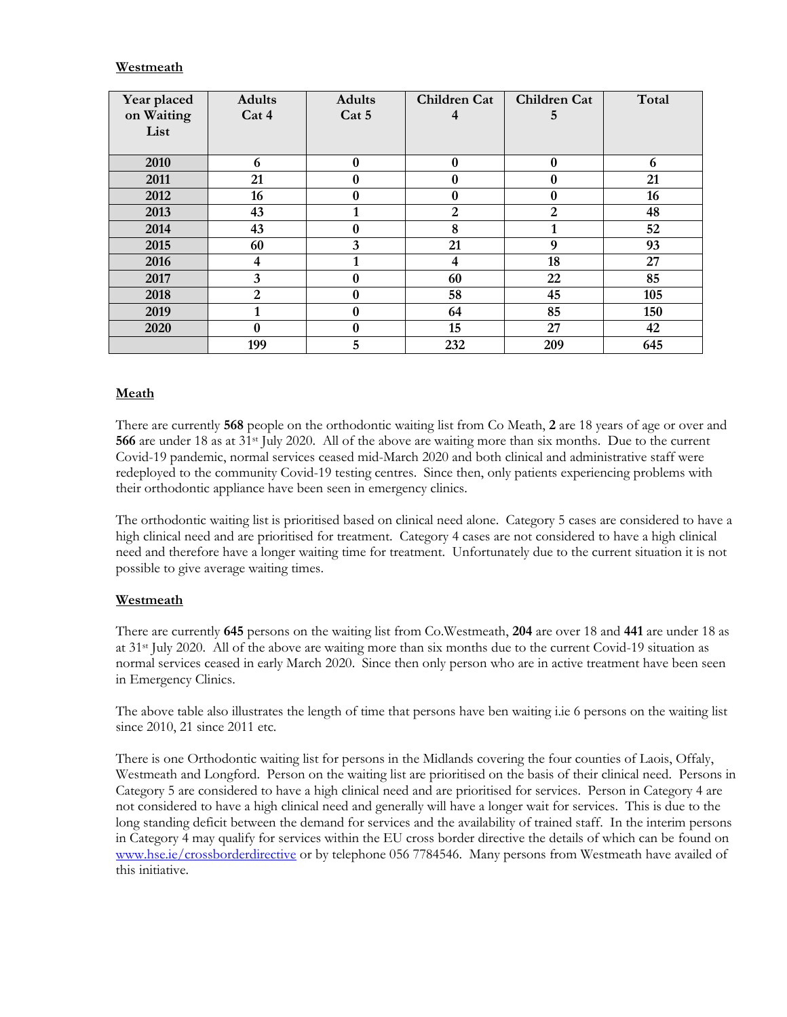# **Westmeath**

| Year placed | <b>Adults</b> | <b>Adults</b> | <b>Children Cat</b> | <b>Children Cat</b> | Total |
|-------------|---------------|---------------|---------------------|---------------------|-------|
| on Waiting  | Cat 4         | Cat 5         | 4                   | 5                   |       |
| List        |               |               |                     |                     |       |
|             |               |               |                     |                     |       |
| 2010        | 6             | $\bf{0}$      | $\bf{0}$            | $\boldsymbol{0}$    | 6     |
| 2011        | 21            | 0             | $\bf{0}$            | 0                   | 21    |
| 2012        | 16            | 0             | $\bf{0}$            | $\bf{0}$            | 16    |
| 2013        | 43            |               | $\mathbf{2}$        | 2                   | 48    |
| 2014        | 43            | 0             | 8                   | 1                   | 52    |
| 2015        | 60            | 3             | 21                  | 9                   | 93    |
| 2016        | 4             |               | 4                   | 18                  | 27    |
| 2017        | 3             | $\bf{0}$      | 60                  | 22                  | 85    |
| 2018        | 2             | $\bf{0}$      | 58                  | 45                  | 105   |
| 2019        | $\mathbf 1$   | 0             | 64                  | 85                  | 150   |
| 2020        | $\bf{0}$      | $\bf{0}$      | 15                  | 27                  | 42    |
|             | 199           | 5             | 232                 | 209                 | 645   |

# **Meath**

There are currently **568** people on the orthodontic waiting list from Co Meath, **2** are 18 years of age or over and **566** are under 18 as at 31<sup>st</sup> July 2020. All of the above are waiting more than six months. Due to the current Covid-19 pandemic, normal services ceased mid-March 2020 and both clinical and administrative staff were redeployed to the community Covid-19 testing centres. Since then, only patients experiencing problems with their orthodontic appliance have been seen in emergency clinics.

The orthodontic waiting list is prioritised based on clinical need alone. Category 5 cases are considered to have a high clinical need and are prioritised for treatment. Category 4 cases are not considered to have a high clinical need and therefore have a longer waiting time for treatment. Unfortunately due to the current situation it is not possible to give average waiting times.

## **Westmeath**

There are currently **645** persons on the waiting list from Co.Westmeath, **204** are over 18 and **441** are under 18 as at 31st July 2020. All of the above are waiting more than six months due to the current Covid-19 situation as normal services ceased in early March 2020. Since then only person who are in active treatment have been seen in Emergency Clinics.

The above table also illustrates the length of time that persons have ben waiting i.ie 6 persons on the waiting list since 2010, 21 since 2011 etc.

There is one Orthodontic waiting list for persons in the Midlands covering the four counties of Laois, Offaly, Westmeath and Longford. Person on the waiting list are prioritised on the basis of their clinical need. Persons in Category 5 are considered to have a high clinical need and are prioritised for services. Person in Category 4 are not considered to have a high clinical need and generally will have a longer wait for services. This is due to the long standing deficit between the demand for services and the availability of trained staff. In the interim persons in Category 4 may qualify for services within the EU cross border directive the details of which can be found on [www.hse.ie/crossborderdirective](http://www.hse.ie/crossborderdirective) or by telephone 056 7784546. Many persons from Westmeath have availed of this initiative.